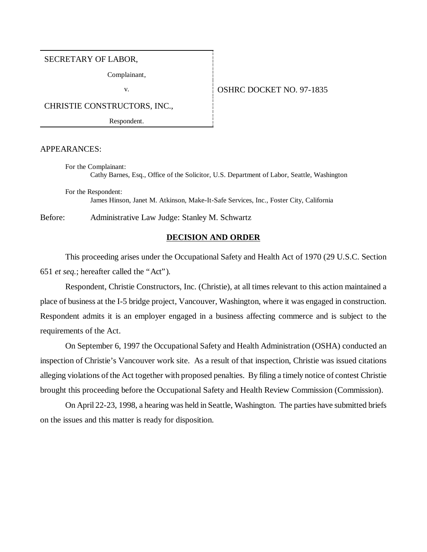#### SECRETARY OF LABOR,

Complainant,

# v.  $\overline{O}$  OSHRC DOCKET NO. 97-1835

CHRISTIE CONSTRUCTORS, INC.,

Respondent.

#### APPEARANCES:

For the Complainant: Cathy Barnes, Esq., Office of the Solicitor, U.S. Department of Labor, Seattle, Washington

For the Respondent: James Hinson, Janet M. Atkinson, Make-It-Safe Services, Inc., Foster City, California

Before: Administrative Law Judge: Stanley M. Schwartz

### **DECISION AND ORDER**

This proceeding arises under the Occupational Safety and Health Act of 1970 (29 U.S.C. Section 651 *et seq.*; hereafter called the "Act").

Respondent, Christie Constructors, Inc. (Christie), at all times relevant to this action maintained a place of business at the I-5 bridge project, Vancouver, Washington, where it was engaged in construction. Respondent admits it is an employer engaged in a business affecting commerce and is subject to the requirements of the Act.

On September 6, 1997 the Occupational Safety and Health Administration (OSHA) conducted an inspection of Christie's Vancouver work site. As a result of that inspection, Christie was issued citations alleging violations of the Act together with proposed penalties. By filing a timely notice of contest Christie brought this proceeding before the Occupational Safety and Health Review Commission (Commission).

On April 22-23, 1998, a hearing was held in Seattle, Washington. The parties have submitted briefs on the issues and this matter is ready for disposition.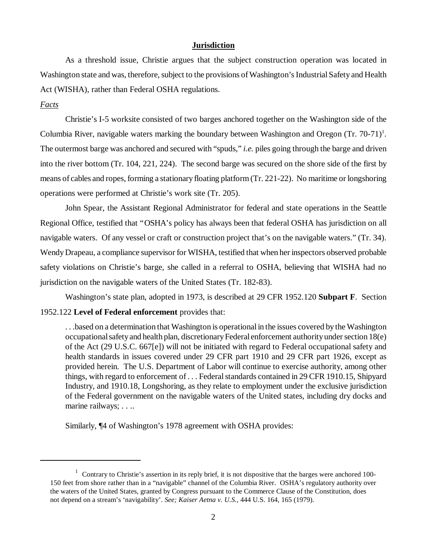#### **Jurisdiction**

As a threshold issue, Christie argues that the subject construction operation was located in Washington state and was, therefore, subject to the provisions of Washington's Industrial Safety and Health Act (WISHA), rather than Federal OSHA regulations.

## *Facts*

Christie's I-5 worksite consisted of two barges anchored together on the Washington side of the Columbia River, navigable waters marking the boundary between Washington and Oregon  $(Tr. 70-71)^1$ . The outermost barge was anchored and secured with "spuds," *i.e.* piles going through the barge and driven into the river bottom (Tr. 104, 221, 224). The second barge was secured on the shore side of the first by means of cables and ropes, forming a stationary floating platform (Tr. 221-22). No maritime or longshoring operations were performed at Christie's work site (Tr. 205).

John Spear, the Assistant Regional Administrator for federal and state operations in the Seattle Regional Office, testified that "OSHA's policy has always been that federal OSHA has jurisdiction on all navigable waters. Of any vessel or craft or construction project that's on the navigable waters." (Tr. 34). Wendy Drapeau, a compliance supervisor for WISHA, testified that when her inspectors observed probable safety violations on Christie's barge, she called in a referral to OSHA, believing that WISHA had no jurisdiction on the navigable waters of the United States (Tr. 182-83).

Washington's state plan, adopted in 1973, is described at 29 CFR 1952.120 **Subpart F**. Section 1952.122 **Level of Federal enforcement** provides that:

. . .based on a determination that Washington is operational in the issues covered by the Washington occupational safety and health plan, discretionary Federal enforcement authority under section 18(e) of the Act (29 U.S.C. 667[e]) will not be initiated with regard to Federal occupational safety and health standards in issues covered under 29 CFR part 1910 and 29 CFR part 1926, except as provided herein. The U.S. Department of Labor will continue to exercise authority, among other things, with regard to enforcement of . . . Federal standards contained in 29 CFR 1910.15, Shipyard Industry, and 1910.18, Longshoring, as they relate to employment under the exclusive jurisdiction of the Federal government on the navigable waters of the United states, including dry docks and marine railways; . . ..

Similarly, ¶4 of Washington's 1978 agreement with OSHA provides:

 $1$  Contrary to Christie's assertion in its reply brief, it is not dispositive that the barges were anchored 100-150 feet from shore rather than in a "navigable" channel of the Columbia River. OSHA's regulatory authority over the waters of the United States, granted by Congress pursuant to the Commerce Clause of the Constitution, does not depend on a stream's 'navigability'. *See; Kaiser Aetna v. U.S.,* 444 U.S. 164, 165 (1979).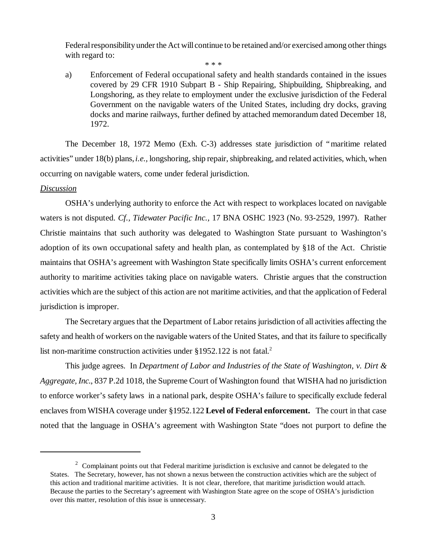Federal responsibility under the Act will continue to be retained and/or exercised among other things with regard to:

\* \* \*

a) Enforcement of Federal occupational safety and health standards contained in the issues covered by 29 CFR 1910 Subpart B - Ship Repairing, Shipbuilding, Shipbreaking, and Longshoring, as they relate to employment under the exclusive jurisdiction of the Federal Government on the navigable waters of the United States, including dry docks, graving docks and marine railways, further defined by attached memorandum dated December 18, 1972.

The December 18, 1972 Memo (Exh. C-3) addresses state jurisdiction of "maritime related activities" under 18(b) plans, *i.e.,* longshoring, ship repair, shipbreaking, and related activities, which, when occurring on navigable waters, come under federal jurisdiction.

#### *Discussion*

OSHA's underlying authority to enforce the Act with respect to workplaces located on navigable waters is not disputed. *Cf., Tidewater Pacific Inc.,* 17 BNA OSHC 1923 (No. 93-2529, 1997). Rather Christie maintains that such authority was delegated to Washington State pursuant to Washington's adoption of its own occupational safety and health plan, as contemplated by §18 of the Act. Christie maintains that OSHA's agreement with Washington State specifically limits OSHA's current enforcement authority to maritime activities taking place on navigable waters. Christie argues that the construction activities which are the subject of this action are not maritime activities, and that the application of Federal jurisdiction is improper.

The Secretary argues that the Department of Labor retains jurisdiction of all activities affecting the safety and health of workers on the navigable waters of the United States, and that its failure to specifically list non-maritime construction activities under  $§1952.122$  is not fatal.<sup>2</sup>

This judge agrees. In *Department of Labor and Industries of the State of Washington, v. Dirt & Aggregate, Inc.*, 837 P.2d 1018, the Supreme Court of Washington found that WISHA had no jurisdiction to enforce worker's safety laws in a national park, despite OSHA's failure to specifically exclude federal enclaves from WISHA coverage under §1952.122 **Level of Federal enforcement.** The court in that case noted that the language in OSHA's agreement with Washington State "does not purport to define the

 $2^{\circ}$  Complainant points out that Federal maritime jurisdiction is exclusive and cannot be delegated to the States. The Secretary, however, has not shown a nexus between the construction activities which are the subject of this action and traditional maritime activities. It is not clear, therefore, that maritime jurisdiction would attach. Because the parties to the Secretary's agreement with Washington State agree on the scope of OSHA's jurisdiction over this matter, resolution of this issue is unnecessary.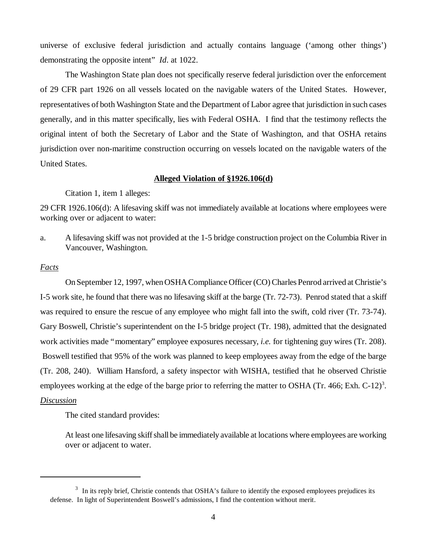universe of exclusive federal jurisdiction and actually contains language ('among other things') demonstrating the opposite intent" *Id*. at 1022.

The Washington State plan does not specifically reserve federal jurisdiction over the enforcement of 29 CFR part 1926 on all vessels located on the navigable waters of the United States. However, representatives of both Washington State and the Department of Labor agree that jurisdiction in such cases generally, and in this matter specifically, lies with Federal OSHA. I find that the testimony reflects the original intent of both the Secretary of Labor and the State of Washington, and that OSHA retains jurisdiction over non-maritime construction occurring on vessels located on the navigable waters of the United States.

#### **Alleged Violation of §1926.106(d)**

Citation 1, item 1 alleges:

29 CFR 1926.106(d): A lifesaving skiff was not immediately available at locations where employees were working over or adjacent to water:

a. A lifesaving skiff was not provided at the 1-5 bridge construction project on the Columbia River in Vancouver, Washington.

#### *Facts*

On September 12, 1997, when OSHA Compliance Officer (CO) Charles Penrod arrived at Christie's I-5 work site, he found that there was no lifesaving skiff at the barge (Tr. 72-73). Penrod stated that a skiff was required to ensure the rescue of any employee who might fall into the swift, cold river (Tr. 73-74). Gary Boswell, Christie's superintendent on the I-5 bridge project (Tr. 198), admitted that the designated work activities made "momentary" employee exposures necessary, *i.e.* for tightening guy wires (Tr. 208). Boswell testified that 95% of the work was planned to keep employees away from the edge of the barge (Tr. 208, 240). William Hansford, a safety inspector with WISHA, testified that he observed Christie employees working at the edge of the barge prior to referring the matter to OSHA (Tr. 466; Exh. C-12)<sup>3</sup>.

# *Discussion*

The cited standard provides:

At least one lifesaving skiff shall be immediately available at locations where employees are working over or adjacent to water.

<sup>&</sup>lt;sup>3</sup> In its reply brief, Christie contends that OSHA's failure to identify the exposed employees prejudices its defense. In light of Superintendent Boswell's admissions, I find the contention without merit.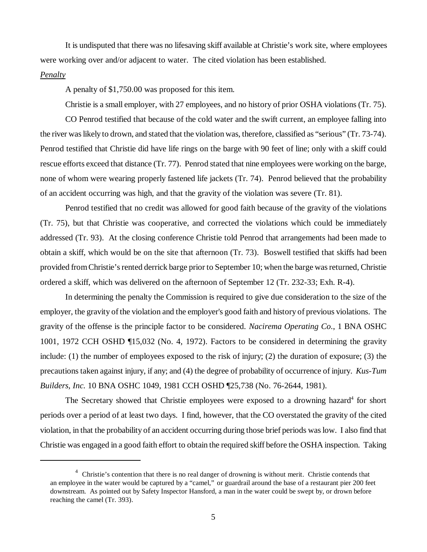It is undisputed that there was no lifesaving skiff available at Christie's work site, where employees were working over and/or adjacent to water. The cited violation has been established.

#### *Penalty*

A penalty of \$1,750.00 was proposed for this item.

Christie is a small employer, with 27 employees, and no history of prior OSHA violations (Tr. 75).

CO Penrod testified that because of the cold water and the swift current, an employee falling into the river was likely to drown, and stated that the violation was, therefore, classified as "serious" (Tr. 73-74). Penrod testified that Christie did have life rings on the barge with 90 feet of line; only with a skiff could rescue efforts exceed that distance (Tr. 77). Penrod stated that nine employees were working on the barge, none of whom were wearing properly fastened life jackets (Tr. 74). Penrod believed that the probability of an accident occurring was high, and that the gravity of the violation was severe (Tr. 81).

Penrod testified that no credit was allowed for good faith because of the gravity of the violations (Tr. 75), but that Christie was cooperative, and corrected the violations which could be immediately addressed (Tr. 93). At the closing conference Christie told Penrod that arrangements had been made to obtain a skiff, which would be on the site that afternoon (Tr. 73). Boswell testified that skiffs had been provided from Christie's rented derrick barge prior to September 10; when the barge was returned, Christie ordered a skiff, which was delivered on the afternoon of September 12 (Tr. 232-33; Exh. R-4).

In determining the penalty the Commission is required to give due consideration to the size of the employer, the gravity of the violation and the employer's good faith and history of previous violations. The gravity of the offense is the principle factor to be considered. *Nacirema Operating Co*., 1 BNA OSHC 1001, 1972 CCH OSHD ¶15,032 (No. 4, 1972). Factors to be considered in determining the gravity include: (1) the number of employees exposed to the risk of injury; (2) the duration of exposure; (3) the precautions taken against injury, if any; and (4) the degree of probability of occurrence of injury. *Kus-Tum Builders, Inc.* 10 BNA OSHC 1049, 1981 CCH OSHD ¶25,738 (No. 76-2644, 1981).

The Secretary showed that Christie employees were exposed to a drowning hazard<sup>4</sup> for short periods over a period of at least two days. I find, however, that the CO overstated the gravity of the cited violation, in that the probability of an accident occurring during those brief periods was low. I also find that Christie was engaged in a good faith effort to obtain the required skiff before the OSHA inspection. Taking

<sup>&</sup>lt;sup>4</sup> Christie's contention that there is no real danger of drowning is without merit. Christie contends that an employee in the water would be captured by a "camel," or guardrail around the base of a restaurant pier 200 feet downstream. As pointed out by Safety Inspector Hansford, a man in the water could be swept by, or drown before reaching the camel (Tr. 393).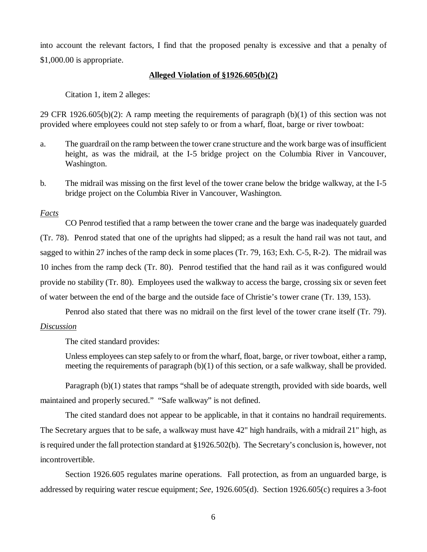into account the relevant factors, I find that the proposed penalty is excessive and that a penalty of \$1,000.00 is appropriate.

## **Alleged Violation of §1926.605(b)(2)**

Citation 1, item 2 alleges:

29 CFR 1926.605(b)(2): A ramp meeting the requirements of paragraph (b)(1) of this section was not provided where employees could not step safely to or from a wharf, float, barge or river towboat:

- a. The guardrail on the ramp between the tower crane structure and the work barge was of insufficient height, as was the midrail, at the I-5 bridge project on the Columbia River in Vancouver, Washington.
- b. The midrail was missing on the first level of the tower crane below the bridge walkway, at the I-5 bridge project on the Columbia River in Vancouver, Washington.

# *Facts*

CO Penrod testified that a ramp between the tower crane and the barge was inadequately guarded (Tr. 78). Penrod stated that one of the uprights had slipped; as a result the hand rail was not taut, and sagged to within 27 inches of the ramp deck in some places (Tr. 79, 163; Exh. C-5, R-2). The midrail was 10 inches from the ramp deck (Tr. 80). Penrod testified that the hand rail as it was configured would provide no stability (Tr. 80). Employees used the walkway to access the barge, crossing six or seven feet of water between the end of the barge and the outside face of Christie's tower crane (Tr. 139, 153).

Penrod also stated that there was no midrail on the first level of the tower crane itself (Tr. 79).

# *Discussion*

The cited standard provides:

Unless employees can step safely to or from the wharf, float, barge, or river towboat, either a ramp, meeting the requirements of paragraph (b)(1) of this section, or a safe walkway, shall be provided.

Paragraph (b)(1) states that ramps "shall be of adequate strength, provided with side boards, well maintained and properly secured." "Safe walkway" is not defined.

The cited standard does not appear to be applicable, in that it contains no handrail requirements. The Secretary argues that to be safe, a walkway must have 42" high handrails, with a midrail 21" high, as is required under the fall protection standard at §1926.502(b). The Secretary's conclusion is, however, not incontrovertible.

Section 1926.605 regulates marine operations. Fall protection, as from an unguarded barge, is addressed by requiring water rescue equipment; *See,* 1926.605(d). Section 1926.605(c) requires a 3-foot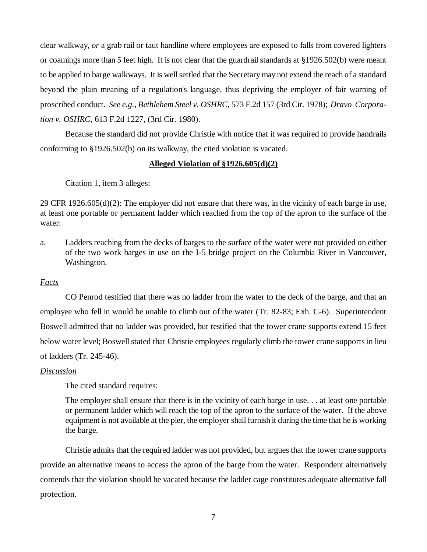clear walkway, *or* a grab rail or taut handline where employees are exposed to falls from covered lighters or coamings more than 5 feet high. It is not clear that the guardrail standards at §1926.502(b) were meant to be applied to barge walkways. It is well settled that the Secretary may not extend the reach of a standard beyond the plain meaning of a regulation's language, thus depriving the employer of fair warning of proscribed conduct. *See e.g., Bethlehem Steel v. OSHRC*, 573 F.2d 157 (3rd Cir. 1978); *Dravo Corporation v. OSHRC,* 613 F.2d 1227, (3rd Cir. 1980).

Because the standard did not provide Christie with notice that it was required to provide handrails conforming to §1926.502(b) on its walkway, the cited violation is vacated.

# **Alleged Violation of §1926.605(d)(2)**

Citation 1, item 3 alleges:

29 CFR 1926.605(d)(2): The employer did not ensure that there was, in the vicinity of each barge in use, at least one portable or permanent ladder which reached from the top of the apron to the surface of the water:

a. Ladders reaching from the decks of barges to the surface of the water were not provided on either of the two work barges in use on the I-5 bridge project on the Columbia River in Vancouver, Washington.

# *Facts*

CO Penrod testified that there was no ladder from the water to the deck of the barge, and that an employee who fell in would be unable to climb out of the water (Tr. 82-83; Exh. C-6). Superintendent Boswell admitted that no ladder was provided, but testified that the tower crane supports extend 15 feet below water level; Boswell stated that Christie employees regularly climb the tower crane supports in lieu of ladders (Tr. 245-46).

# *Discussion*

The cited standard requires:

The employer shall ensure that there is in the vicinity of each barge in use. . . at least one portable or permanent ladder which will reach the top of the apron to the surface of the water. If the above equipment is not available at the pier, the employer shall furnish it during the time that he is working the barge.

Christie admits that the required ladder was not provided, but argues that the tower crane supports provide an alternative means to access the apron of the barge from the water. Respondent alternatively contends that the violation should be vacated because the ladder cage constitutes adequate alternative fall protection.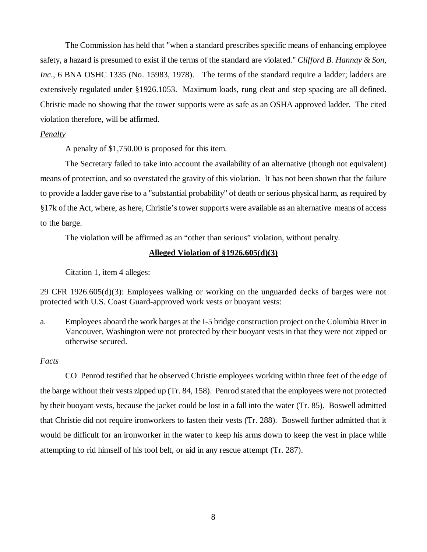The Commission has held that "when a standard prescribes specific means of enhancing employee safety, a hazard is presumed to exist if the terms of the standard are violated." *Clifford B. Hannay & Son, Inc.*, 6 BNA OSHC 1335 (No. 15983, 1978). The terms of the standard require a ladder; ladders are extensively regulated under §1926.1053. Maximum loads, rung cleat and step spacing are all defined. Christie made no showing that the tower supports were as safe as an OSHA approved ladder. The cited violation therefore, will be affirmed.

#### *Penalty*

A penalty of \$1,750.00 is proposed for this item.

The Secretary failed to take into account the availability of an alternative (though not equivalent) means of protection, and so overstated the gravity of this violation. It has not been shown that the failure to provide a ladder gave rise to a "substantial probability" of death or serious physical harm, as required by §17k of the Act, where, as here, Christie's tower supports were available as an alternative means of access to the barge.

The violation will be affirmed as an "other than serious" violation, without penalty.

## **Alleged Violation of §1926.605(d)(3)**

Citation 1, item 4 alleges:

29 CFR 1926.605(d)(3): Employees walking or working on the unguarded decks of barges were not protected with U.S. Coast Guard-approved work vests or buoyant vests:

a. Employees aboard the work barges at the I-5 bridge construction project on the Columbia River in Vancouver, Washington were not protected by their buoyant vests in that they were not zipped or otherwise secured.

# *Facts*

CO Penrod testified that he observed Christie employees working within three feet of the edge of the barge without their vests zipped up (Tr. 84, 158). Penrod stated that the employees were not protected by their buoyant vests, because the jacket could be lost in a fall into the water (Tr. 85). Boswell admitted that Christie did not require ironworkers to fasten their vests (Tr. 288). Boswell further admitted that it would be difficult for an ironworker in the water to keep his arms down to keep the vest in place while attempting to rid himself of his tool belt, or aid in any rescue attempt (Tr. 287).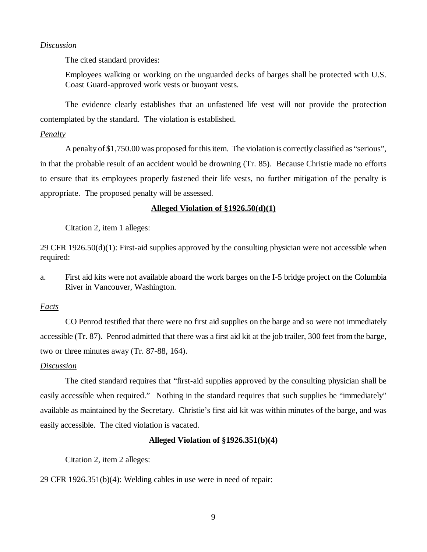# *Discussion*

The cited standard provides:

Employees walking or working on the unguarded decks of barges shall be protected with U.S. Coast Guard-approved work vests or buoyant vests.

The evidence clearly establishes that an unfastened life vest will not provide the protection contemplated by the standard. The violation is established.

#### *Penalty*

A penalty of \$1,750.00 was proposed for this item. The violation is correctly classified as "serious", in that the probable result of an accident would be drowning (Tr. 85). Because Christie made no efforts to ensure that its employees properly fastened their life vests, no further mitigation of the penalty is appropriate. The proposed penalty will be assessed.

# **Alleged Violation of §1926.50(d)(1)**

Citation 2, item 1 alleges:

29 CFR  $1926.50(d)(1)$ : First-aid supplies approved by the consulting physician were not accessible when required:

a. First aid kits were not available aboard the work barges on the I-5 bridge project on the Columbia River in Vancouver, Washington.

#### *Facts*

CO Penrod testified that there were no first aid supplies on the barge and so were not immediately accessible (Tr. 87). Penrod admitted that there was a first aid kit at the job trailer, 300 feet from the barge, two or three minutes away (Tr. 87-88, 164).

#### *Discussion*

The cited standard requires that "first-aid supplies approved by the consulting physician shall be easily accessible when required." Nothing in the standard requires that such supplies be "immediately" available as maintained by the Secretary. Christie's first aid kit was within minutes of the barge, and was easily accessible. The cited violation is vacated.

## **Alleged Violation of §1926.351(b)(4)**

Citation 2, item 2 alleges:

29 CFR 1926.351(b)(4): Welding cables in use were in need of repair: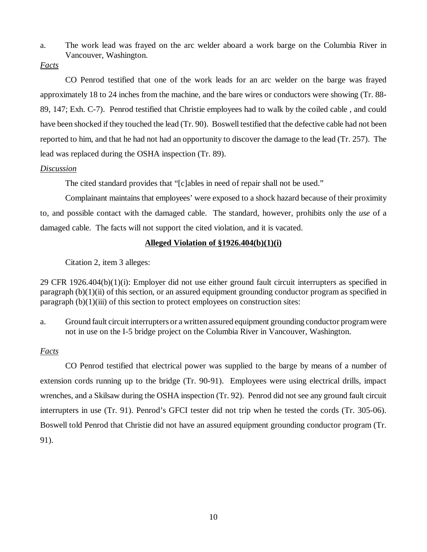a. The work lead was frayed on the arc welder aboard a work barge on the Columbia River in Vancouver, Washington.

# *Facts*

CO Penrod testified that one of the work leads for an arc welder on the barge was frayed approximately 18 to 24 inches from the machine, and the bare wires or conductors were showing (Tr. 88- 89, 147; Exh. C-7). Penrod testified that Christie employees had to walk by the coiled cable , and could have been shocked if they touched the lead (Tr. 90). Boswell testified that the defective cable had not been reported to him, and that he had not had an opportunity to discover the damage to the lead (Tr. 257). The lead was replaced during the OSHA inspection (Tr. 89).

## *Discussion*

The cited standard provides that "[c]ables in need of repair shall not be used."

Complainant maintains that employees' were exposed to a shock hazard because of their proximity to, and possible contact with the damaged cable. The standard, however, prohibits only the *use* of a damaged cable. The facts will not support the cited violation, and it is vacated.

# **Alleged Violation of §1926.404(b)(1)(i)**

Citation 2, item 3 alleges:

29 CFR 1926.404(b)(1)(i): Employer did not use either ground fault circuit interrupters as specified in paragraph (b)(1)(ii) of this section, or an assured equipment grounding conductor program as specified in paragraph  $(b)(1)(iii)$  of this section to protect employees on construction sites:

a. Ground fault circuit interrupters or a written assured equipment grounding conductor program were not in use on the I-5 bridge project on the Columbia River in Vancouver, Washington.

## *Facts*

CO Penrod testified that electrical power was supplied to the barge by means of a number of extension cords running up to the bridge (Tr. 90-91). Employees were using electrical drills, impact wrenches, and a Skilsaw during the OSHA inspection (Tr. 92). Penrod did not see any ground fault circuit interrupters in use (Tr. 91). Penrod's GFCI tester did not trip when he tested the cords (Tr. 305-06). Boswell told Penrod that Christie did not have an assured equipment grounding conductor program (Tr. 91).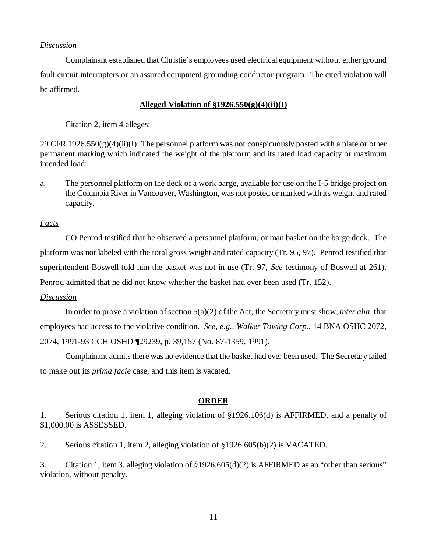## *Discussion*

Complainant established that Christie's employees used electrical equipment without either ground fault circuit interrupters or an assured equipment grounding conductor program. The cited violation will be affirmed.

# **Alleged Violation of §1926.550(g)(4)(ii)(I)**

Citation 2, item 4 alleges:

29 CFR  $1926.550(g)(4)(ii)(I)$ : The personnel platform was not conspicuously posted with a plate or other permanent marking which indicated the weight of the platform and its rated load capacity or maximum intended load:

a. The personnel platform on the deck of a work barge, available for use on the I-5 bridge project on the Columbia River in Vancouver, Washington, was not posted or marked with its weight and rated capacity.

*Facts*

CO Penrod testified that he observed a personnel platform, or man basket on the barge deck. The platform was not labeled with the total gross weight and rated capacity (Tr. 95, 97). Penrod testified that superintendent Boswell told him the basket was not in use (Tr. 97, *See* testimony of Boswell at 261). Penrod admitted that he did not know whether the basket had ever been used (Tr. 152).

## *Discussion*

In order to prove a violation of section 5(a)(2) of the Act, the Secretary must show, *inter alia,* that employees had access to the violative condition. *See, e.g., Walker Towing Corp.*, 14 BNA OSHC 2072, 2074, 1991-93 CCH OSHD ¶29239, p. 39,157 (No. 87-1359, 1991).

Complainant admits there was no evidence that the basket had ever been used. The Secretary failed to make out its *prima facie* case, and this item is vacated.

# **ORDER**

1. Serious citation 1, item 1, alleging violation of §1926.106(d) is AFFIRMED, and a penalty of \$1,000.00 is ASSESSED.

2. Serious citation 1, item 2, alleging violation of §1926.605(b)(2) is VACATED.

3. Citation 1, item 3, alleging violation of §1926.605(d)(2) is AFFIRMED as an "other than serious" violation, without penalty.